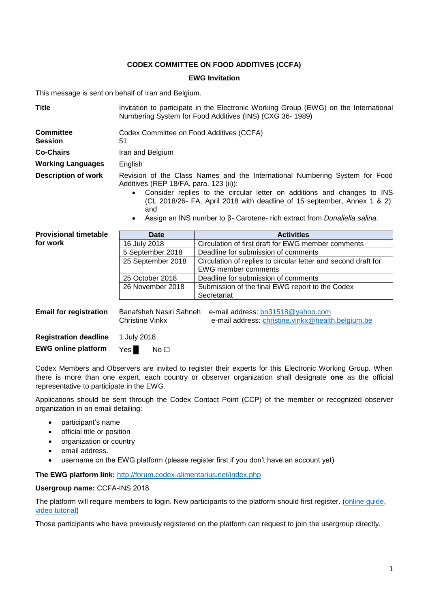## **CODEX COMMITTEE ON FOOD ADDITIVES (CCFA)**

## **EWG Invitation**

This message is sent on behalf of Iran and Belgium.

| <b>Title</b>                       | Invitation to participate in the Electronic Working Group (EWG) on the International<br>Numbering System for Food Additives (INS) (CXG 36-1989)                                                                                                                                                                                                                                                           |                                                                                              |
|------------------------------------|-----------------------------------------------------------------------------------------------------------------------------------------------------------------------------------------------------------------------------------------------------------------------------------------------------------------------------------------------------------------------------------------------------------|----------------------------------------------------------------------------------------------|
| <b>Committee</b><br><b>Session</b> | Codex Committee on Food Additives (CCFA)<br>51                                                                                                                                                                                                                                                                                                                                                            |                                                                                              |
| <b>Co-Chairs</b>                   | Iran and Belgium                                                                                                                                                                                                                                                                                                                                                                                          |                                                                                              |
| <b>Working Languages</b>           | English                                                                                                                                                                                                                                                                                                                                                                                                   |                                                                                              |
| <b>Description of work</b>         | Revision of the Class Names and the International Numbering System for Food<br>Additives (REP 18/FA, para. 123 (ii)):<br>Consider replies to the circular letter on additions and changes to INS<br>$\bullet$<br>(CL 2018/26- FA, April 2018 with deadline of 15 september, Annex 1 & 2);<br>and<br>Assign an INS number to $\beta$ - Carotene- rich extract from <i>Dunaliella salina</i> .<br>$\bullet$ |                                                                                              |
|                                    |                                                                                                                                                                                                                                                                                                                                                                                                           |                                                                                              |
| <b>Provisional timetable</b>       | <b>Date</b>                                                                                                                                                                                                                                                                                                                                                                                               | <b>Activities</b>                                                                            |
| for work                           | 16 July 2018                                                                                                                                                                                                                                                                                                                                                                                              | Circulation of first draft for EWG member comments                                           |
|                                    | 5 September 2018                                                                                                                                                                                                                                                                                                                                                                                          | Deadline for submission of comments                                                          |
|                                    | 25 September 2018                                                                                                                                                                                                                                                                                                                                                                                         | Circulation of replies to circular letter and second draft for<br><b>EWG</b> member comments |
|                                    | 25 October 2018                                                                                                                                                                                                                                                                                                                                                                                           | Deadline for submission of comments                                                          |
|                                    | 26 November 2018                                                                                                                                                                                                                                                                                                                                                                                          | Submission of the final EWG report to the Codex<br>Secretariat                               |
| <b>Email for registration</b>      | Banafsheh Nasiri Sahneh<br><b>Christine Vinkx</b>                                                                                                                                                                                                                                                                                                                                                         | e-mail address: bn31518@yahoo.com<br>e-mail address: christine.vinkx@health.belgium.be       |
| <b>Registration deadline</b>       | 1 July 2018                                                                                                                                                                                                                                                                                                                                                                                               |                                                                                              |

Codex Members and Observers are invited to register their experts for this Electronic Working Group. When there is more than one expert, each country or observer organization shall designate **one** as the official representative to participate in the EWG.

Applications should be sent through the Codex Contact Point (CCP) of the member or recognized observer organization in an email detailing:

- participant's name
- official title or position
- organization or country
- email address.
- username on the EWG platform (please register first if you don't have an account yet)

**The EWG platform link:** <http://forum.codex-alimentarius.net/index.php>

## **Usergroup name:** CCFA-INS 2018

The platform will require members to login. New participants to the platform should first register. [\(online guide,](http://forum.codex-alimentarius.net/viewtopic.php?f=13&t=11) [video tutorial\)](https://youtu.be/EJn9k7wNSwk)

Those participants who have previously registered on the platform can request to join the usergroup directly.